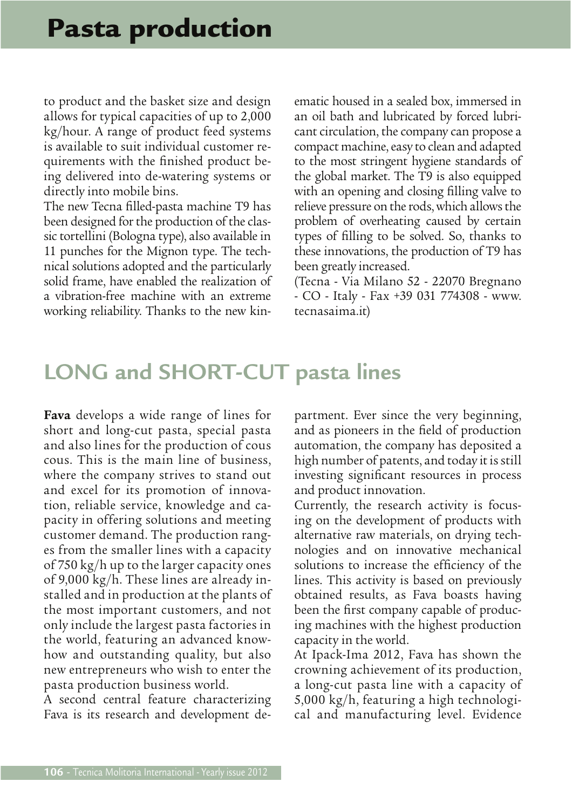## Pasta production

to product and the basket size and design allows for typical capacities of up to 2,000 kg/hour. A range of product feed systems is available to suit individual customer requirements with the finished product being delivered into de-watering systems or directly into mobile bins.

The new Tecna filled-pasta machine T9 has been designed for the production of the classic tortellini (Bologna type), also available in 11 punches for the Mignon type. The technical solutions adopted and the particularly solid frame, have enabled the realization of a vibration-free machine with an extreme working reliability. Thanks to the new kinematic housed in a sealed box, immersed in an oil bath and lubricated by forced lubricant circulation, the company can propose a compact machine, easy to clean and adapted to the most stringent hygiene standards of the global market. The T9 is also equipped with an opening and closing filling valve to relieve pressure on the rods, which allows the problem of overheating caused by certain types of filling to be solved. So, thanks to these innovations, the production of T9 has been greatly increased.

(Tecna - Via Milano 52 - 22070 Bregnano - CO - Italy - Fax +39 031 774308 - www. tecnasaima.it)

## **LONG and SHORT-CUT pasta lines**

**Fava** develops a wide range of lines for short and long-cut pasta, special pasta and also lines for the production of cous cous. This is the main line of business, where the company strives to stand out and excel for its promotion of innovation, reliable service, knowledge and capacity in offering solutions and meeting customer demand. The production ranges from the smaller lines with a capacity of 750 kg/h up to the larger capacity ones of 9,000 kg/h. These lines are already installed and in production at the plants of the most important customers, and not only include the largest pasta factories in the world, featuring an advanced knowhow and outstanding quality, but also new entrepreneurs who wish to enter the pasta production business world.

A second central feature characterizing Fava is its research and development department. Ever since the very beginning, and as pioneers in the field of production automation, the company has deposited a high number of patents, and today it is still investing significant resources in process and product innovation.

Currently, the research activity is focusing on the development of products with alternative raw materials, on drying technologies and on innovative mechanical solutions to increase the efficiency of the lines. This activity is based on previously obtained results, as Fava boasts having been the first company capable of producing machines with the highest production capacity in the world.

At Ipack-Ima 2012, Fava has shown the crowning achievement of its production, a long-cut pasta line with a capacity of 5,000 kg/h, featuring a high technological and manufacturing level. Evidence